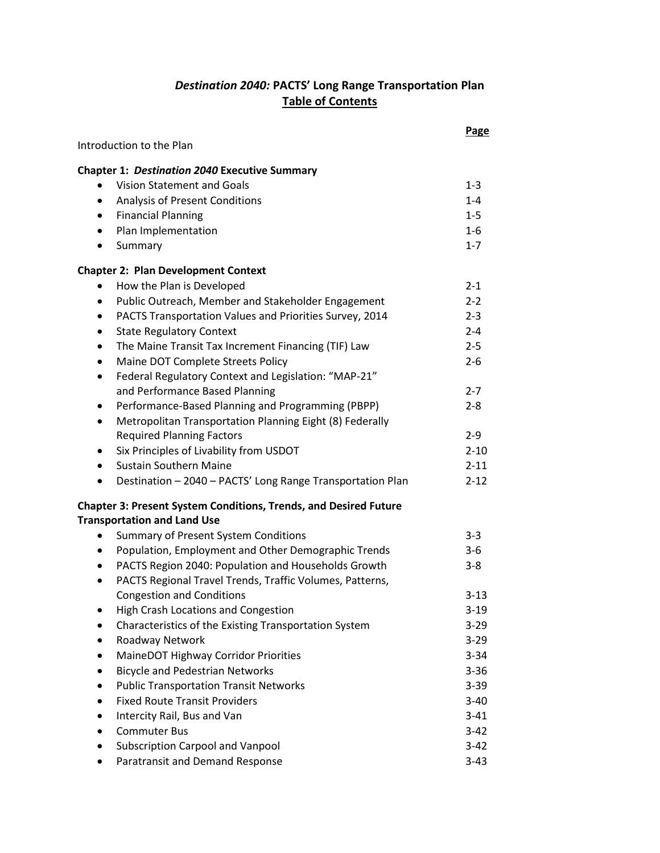## *Destination 2040:* **PACTS' Long Range Transportation Plan Table of Contents**

|                                                                         | Page     |
|-------------------------------------------------------------------------|----------|
| Introduction to the Plan                                                |          |
| <b>Chapter 1: Destination 2040 Executive Summary</b>                    |          |
| <b>Vision Statement and Goals</b>                                       | $1 - 3$  |
| Analysis of Present Conditions<br>$\bullet$                             | $1 - 4$  |
| <b>Financial Planning</b><br>$\bullet$                                  | $1 - 5$  |
| Plan Implementation<br>$\bullet$                                        | $1 - 6$  |
| Summary<br>٠                                                            | $1 - 7$  |
| <b>Chapter 2: Plan Development Context</b>                              |          |
| How the Plan is Developed<br>$\bullet$                                  | $2 - 1$  |
| Public Outreach, Member and Stakeholder Engagement<br>٠                 | $2 - 2$  |
| PACTS Transportation Values and Priorities Survey, 2014<br>٠            | $2 - 3$  |
| <b>State Regulatory Context</b><br>$\bullet$                            | $2 - 4$  |
| The Maine Transit Tax Increment Financing (TIF) Law<br>$\bullet$        | $2 - 5$  |
| Maine DOT Complete Streets Policy<br>٠                                  | $2 - 6$  |
| Federal Regulatory Context and Legislation: "MAP-21"<br>$\bullet$       |          |
| and Performance Based Planning                                          | $2 - 7$  |
| Performance-Based Planning and Programming (PBPP)<br>٠                  | $2 - 8$  |
| Metropolitan Transportation Planning Eight (8) Federally<br>$\bullet$   |          |
| <b>Required Planning Factors</b>                                        | $2-9$    |
| Six Principles of Livability from USDOT<br>٠                            | $2 - 10$ |
| <b>Sustain Southern Maine</b><br>$\bullet$                              | $2 - 11$ |
| Destination - 2040 - PACTS' Long Range Transportation Plan<br>$\bullet$ | $2 - 12$ |
| <b>Chapter 3: Present System Conditions, Trends, and Desired Future</b> |          |
| <b>Transportation and Land Use</b>                                      |          |
| <b>Summary of Present System Conditions</b>                             | $3 - 3$  |
| Population, Employment and Other Demographic Trends<br>$\bullet$        | $3-6$    |
| PACTS Region 2040: Population and Households Growth<br>$\bullet$        | $3 - 8$  |
| PACTS Regional Travel Trends, Traffic Volumes, Patterns,<br>$\bullet$   |          |
| <b>Congestion and Conditions</b>                                        | $3 - 13$ |
| High Crash Locations and Congestion                                     | $3 - 19$ |
| Characteristics of the Existing Transportation System                   | $3-29$   |
| Roadway Network                                                         | $3 - 29$ |
| MaineDOT Highway Corridor Priorities<br>$\bullet$                       | $3 - 34$ |
| <b>Bicycle and Pedestrian Networks</b><br>٠                             | $3 - 36$ |
| <b>Public Transportation Transit Networks</b><br>$\bullet$              | $3 - 39$ |
| <b>Fixed Route Transit Providers</b><br>$\bullet$                       | $3 - 40$ |
| Intercity Rail, Bus and Van<br>٠                                        | $3 - 41$ |
| <b>Commuter Bus</b><br>$\bullet$                                        | $3 - 42$ |
| <b>Subscription Carpool and Vanpool</b><br>$\bullet$                    | $3 - 42$ |
| Paratransit and Demand Response                                         | $3-43$   |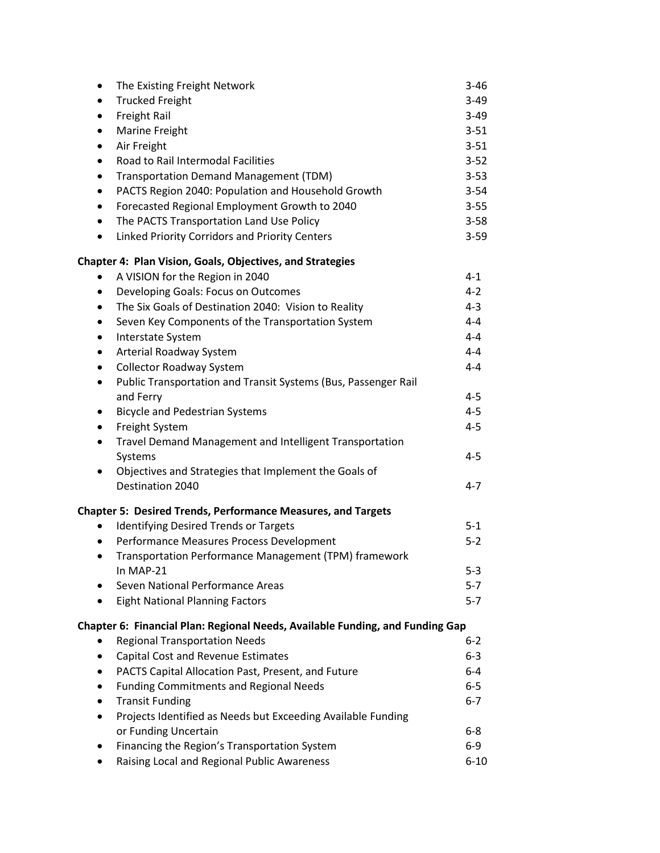| The Existing Freight Network<br>٠                                             | $3 - 46$ |
|-------------------------------------------------------------------------------|----------|
| <b>Trucked Freight</b><br>$\bullet$                                           | $3 - 49$ |
| Freight Rail<br>$\bullet$                                                     | $3 - 49$ |
| Marine Freight<br>٠                                                           | $3 - 51$ |
| Air Freight<br>$\bullet$                                                      | $3 - 51$ |
| Road to Rail Intermodal Facilities<br>$\bullet$                               | $3 - 52$ |
| <b>Transportation Demand Management (TDM)</b><br>٠                            | $3 - 53$ |
| PACTS Region 2040: Population and Household Growth<br>$\bullet$               | $3 - 54$ |
| Forecasted Regional Employment Growth to 2040<br>$\bullet$                    | $3 - 55$ |
| The PACTS Transportation Land Use Policy<br>$\bullet$                         | $3 - 58$ |
| Linked Priority Corridors and Priority Centers<br>$\bullet$                   | $3 - 59$ |
| <b>Chapter 4: Plan Vision, Goals, Objectives, and Strategies</b>              |          |
| A VISION for the Region in 2040                                               | $4 - 1$  |
| Developing Goals: Focus on Outcomes<br>٠                                      | $4 - 2$  |
| The Six Goals of Destination 2040: Vision to Reality<br>$\bullet$             | $4 - 3$  |
| Seven Key Components of the Transportation System<br>$\bullet$                | $4 - 4$  |
| Interstate System<br>$\bullet$                                                | $4 - 4$  |
| Arterial Roadway System<br>$\bullet$                                          | 4-4      |
| <b>Collector Roadway System</b><br>$\bullet$                                  | 4-4      |
| Public Transportation and Transit Systems (Bus, Passenger Rail<br>$\bullet$   |          |
| and Ferry                                                                     | $4 - 5$  |
| <b>Bicycle and Pedestrian Systems</b><br>$\bullet$                            | $4 - 5$  |
| Freight System<br>٠                                                           | $4 - 5$  |
| Travel Demand Management and Intelligent Transportation<br>٠                  |          |
| Systems                                                                       | $4 - 5$  |
| Objectives and Strategies that Implement the Goals of<br>Destination 2040     | $4 - 7$  |
| <b>Chapter 5: Desired Trends, Performance Measures, and Targets</b>           |          |
| Identifying Desired Trends or Targets<br>٠                                    | $5-1$    |
| Performance Measures Process Development<br>$\bullet$                         | $5 - 2$  |
| Transportation Performance Management (TPM) framework<br>$\bullet$            |          |
| In MAP-21                                                                     | $5 - 3$  |
| Seven National Performance Areas<br>٠                                         | $5 - 7$  |
| <b>Eight National Planning Factors</b>                                        | $5 - 7$  |
| Chapter 6: Financial Plan: Regional Needs, Available Funding, and Funding Gap |          |
| <b>Regional Transportation Needs</b>                                          | $6 - 2$  |
| Capital Cost and Revenue Estimates                                            | $6 - 3$  |
| PACTS Capital Allocation Past, Present, and Future                            | $6-4$    |
| <b>Funding Commitments and Regional Needs</b>                                 | $6-5$    |
| <b>Transit Funding</b>                                                        | $6 - 7$  |
| Projects Identified as Needs but Exceeding Available Funding<br>$\bullet$     |          |
| or Funding Uncertain                                                          | 6-8      |
| Financing the Region's Transportation System                                  | $6-9$    |
| Raising Local and Regional Public Awareness                                   | $6 - 10$ |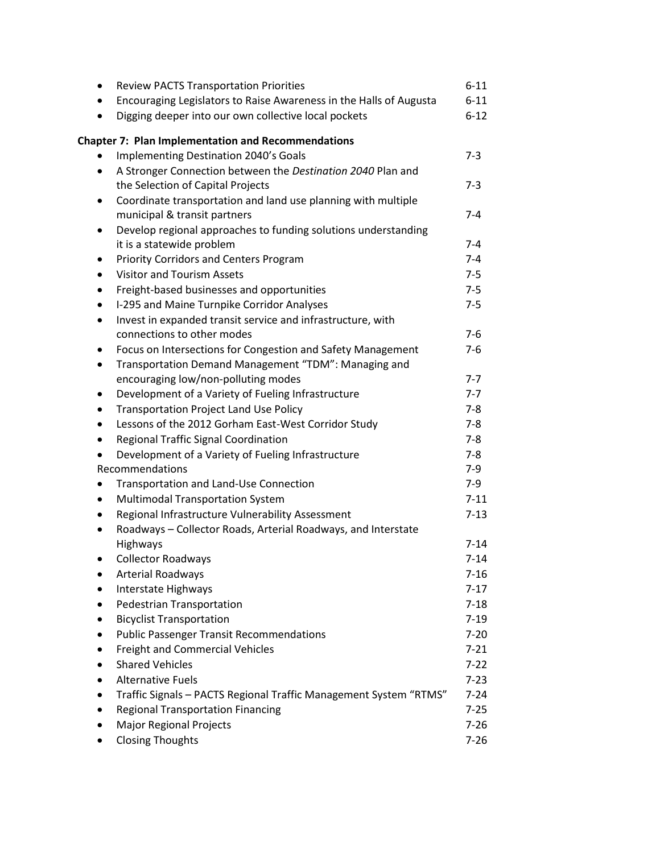| ٠         | <b>Review PACTS Transportation Priorities</b>                      | $6 - 11$ |
|-----------|--------------------------------------------------------------------|----------|
| $\bullet$ | Encouraging Legislators to Raise Awareness in the Halls of Augusta | $6 - 11$ |
|           | Digging deeper into our own collective local pockets               | $6 - 12$ |
|           | <b>Chapter 7: Plan Implementation and Recommendations</b>          |          |
|           | Implementing Destination 2040's Goals                              | $7-3$    |
| ٠         | A Stronger Connection between the Destination 2040 Plan and        |          |
|           | the Selection of Capital Projects                                  | $7 - 3$  |
| ٠         | Coordinate transportation and land use planning with multiple      |          |
|           | municipal & transit partners                                       | $7 - 4$  |
| $\bullet$ | Develop regional approaches to funding solutions understanding     |          |
|           | it is a statewide problem                                          | $7 - 4$  |
| ٠         | <b>Priority Corridors and Centers Program</b>                      | $7 - 4$  |
| $\bullet$ | <b>Visitor and Tourism Assets</b>                                  | $7 - 5$  |
| $\bullet$ | Freight-based businesses and opportunities                         | $7 - 5$  |
| ٠         | I-295 and Maine Turnpike Corridor Analyses                         | $7 - 5$  |
| $\bullet$ | Invest in expanded transit service and infrastructure, with        |          |
|           | connections to other modes                                         | $7-6$    |
| ٠         | Focus on Intersections for Congestion and Safety Management        | $7-6$    |
| ٠         | Transportation Demand Management "TDM": Managing and               |          |
|           | encouraging low/non-polluting modes                                | $7 - 7$  |
|           | Development of a Variety of Fueling Infrastructure                 | $7 - 7$  |
| ٠         | <b>Transportation Project Land Use Policy</b>                      | $7-8$    |
| $\bullet$ | Lessons of the 2012 Gorham East-West Corridor Study                | $7 - 8$  |
| $\bullet$ | Regional Traffic Signal Coordination                               | $7 - 8$  |
| $\bullet$ | Development of a Variety of Fueling Infrastructure                 | $7 - 8$  |
|           | Recommendations                                                    | $7-9$    |
|           | Transportation and Land-Use Connection                             | $7-9$    |
| ٠         | <b>Multimodal Transportation System</b>                            | $7 - 11$ |
| ٠         | Regional Infrastructure Vulnerability Assessment                   | $7 - 13$ |
|           | Roadways - Collector Roads, Arterial Roadways, and Interstate      |          |
|           | Highways                                                           | $7 - 14$ |
|           | <b>Collector Roadways</b>                                          | $7 - 14$ |
|           | <b>Arterial Roadways</b>                                           | $7 - 16$ |
|           | Interstate Highways                                                | $7 - 17$ |
|           | Pedestrian Transportation                                          | $7 - 18$ |
|           | <b>Bicyclist Transportation</b>                                    | $7 - 19$ |
|           | <b>Public Passenger Transit Recommendations</b>                    | $7 - 20$ |
|           | Freight and Commercial Vehicles                                    | $7 - 21$ |
|           | <b>Shared Vehicles</b>                                             | $7 - 22$ |
|           | <b>Alternative Fuels</b>                                           | $7 - 23$ |
|           | Traffic Signals - PACTS Regional Traffic Management System "RTMS"  | $7 - 24$ |
|           | <b>Regional Transportation Financing</b>                           | $7 - 25$ |
|           | <b>Major Regional Projects</b>                                     | $7 - 26$ |
|           | <b>Closing Thoughts</b>                                            | $7 - 26$ |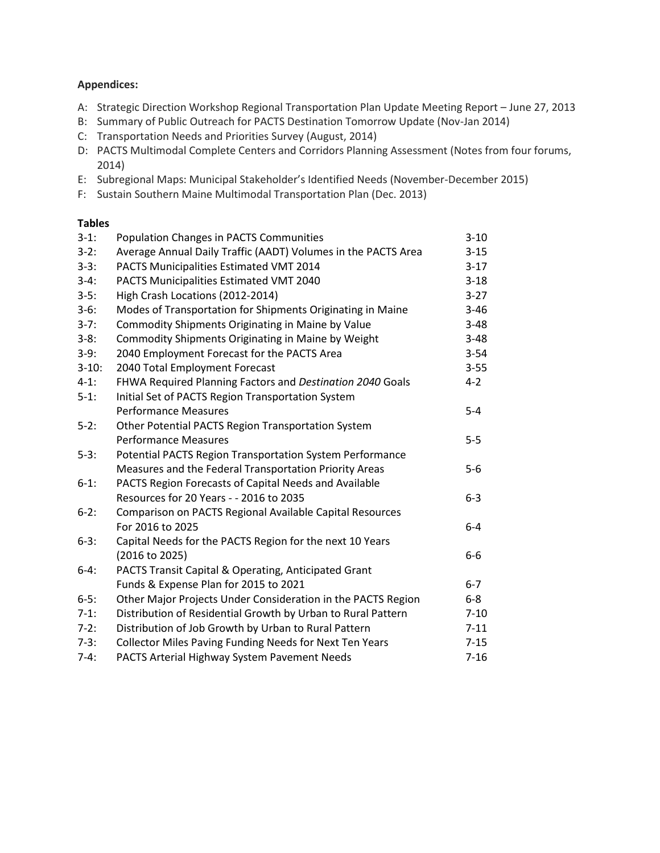## **Appendices:**

- A: Strategic Direction Workshop Regional Transportation Plan Update Meeting Report June 27, 2013
- B: Summary of Public Outreach for PACTS Destination Tomorrow Update (Nov-Jan 2014)
- C: Transportation Needs and Priorities Survey (August, 2014)
- D: PACTS Multimodal Complete Centers and Corridors Planning Assessment (Notes from four forums, 2014)
- E: Subregional Maps: Municipal Stakeholder's Identified Needs (November-December 2015)
- F: Sustain Southern Maine Multimodal Transportation Plan (Dec. 2013)

## **Tables**

| $3-1:$   | <b>Population Changes in PACTS Communities</b>                | $3 - 10$ |
|----------|---------------------------------------------------------------|----------|
| $3-2:$   | Average Annual Daily Traffic (AADT) Volumes in the PACTS Area | $3 - 15$ |
| $3-3:$   | PACTS Municipalities Estimated VMT 2014                       | $3-17$   |
| $3-4:$   | PACTS Municipalities Estimated VMT 2040                       | $3 - 18$ |
| $3-5:$   | High Crash Locations (2012-2014)                              | $3 - 27$ |
| $3-6:$   | Modes of Transportation for Shipments Originating in Maine    | $3 - 46$ |
| $3-7:$   | Commodity Shipments Originating in Maine by Value             | $3 - 48$ |
| $3-8:$   | Commodity Shipments Originating in Maine by Weight            | $3 - 48$ |
| $3-9:$   | 2040 Employment Forecast for the PACTS Area                   | $3 - 54$ |
| $3-10:$  | 2040 Total Employment Forecast                                | $3 - 55$ |
| $4-1:$   | FHWA Required Planning Factors and Destination 2040 Goals     | $4 - 2$  |
| $5-1:$   | Initial Set of PACTS Region Transportation System             |          |
|          | <b>Performance Measures</b>                                   | $5-4$    |
| $5-2:$   | Other Potential PACTS Region Transportation System            |          |
|          | <b>Performance Measures</b>                                   | $5-5$    |
| $5-3:$   | Potential PACTS Region Transportation System Performance      |          |
|          | Measures and the Federal Transportation Priority Areas        | $5-6$    |
| $6-1:$   | PACTS Region Forecasts of Capital Needs and Available         |          |
|          | Resources for 20 Years - - 2016 to 2035                       | $6 - 3$  |
| $6-2:$   | Comparison on PACTS Regional Available Capital Resources      |          |
|          | For 2016 to 2025                                              | $6-4$    |
| $6-3:$   | Capital Needs for the PACTS Region for the next 10 Years      |          |
|          | (2016 to 2025)                                                | $6-6$    |
| $6 - 4:$ | PACTS Transit Capital & Operating, Anticipated Grant          |          |
|          | Funds & Expense Plan for 2015 to 2021                         | $6-7$    |
| $6 - 5:$ | Other Major Projects Under Consideration in the PACTS Region  | $6-8$    |
| $7-1:$   | Distribution of Residential Growth by Urban to Rural Pattern  | $7 - 10$ |
| $7-2:$   | Distribution of Job Growth by Urban to Rural Pattern          | $7 - 11$ |
| $7-3:$   | Collector Miles Paving Funding Needs for Next Ten Years       | $7 - 15$ |
| $7-4:$   | PACTS Arterial Highway System Pavement Needs                  | $7 - 16$ |